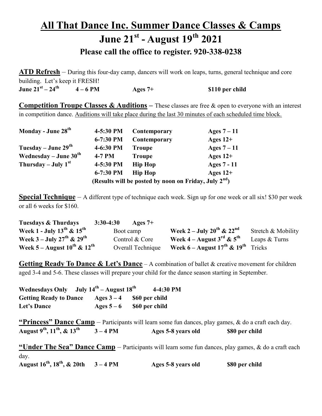## All That Dance Inc. Summer Dance Classes & Camps June 21st - August 19th 2021 Please call the office to register. 920-338-0238

ATD Refresh – During this four-day camp, dancers will work on leaps, turns, general technique and core building. Let's keep it FRESH! June  $21<sup>st</sup> - 24<sup>th</sup>$  4 – 6 PM Ages 7+ \$110 per child

**Competition Troupe Classes & Auditions –** These classes are free & open to everyone with an interest in competition dance. Auditions will take place during the last 30 minutes of each scheduled time block.

| Monday - June 28 <sup>th</sup>    | 4-5:30 PM | Contemporary                                                      | Ages $7-11$ |
|-----------------------------------|-----------|-------------------------------------------------------------------|-------------|
|                                   | 6-7:30 PM | Contemporary                                                      | Ages $12+$  |
| Tuesday – June $29th$             | 4-6:30 PM | <b>Troupe</b>                                                     | Ages $7-11$ |
| Wednesday – June $30^{\text{th}}$ | $4-7$ PM  | <b>Troupe</b>                                                     | Ages $12+$  |
| Thursday – July $1st$             | 4-5:30 PM | <b>Hip Hop</b>                                                    | Ages 7 - 11 |
|                                   | 6-7:30 PM | <b>Hip Hop</b>                                                    | Ages $12+$  |
|                                   |           | (Results will be posted by noon on Friday, July 2 <sup>nd</sup> ) |             |

**Special Technique** – A different type of technique each week. Sign up for one week or all six! \$30 per week or all 6 weeks for \$160.

| <b>Tuesdays &amp; Thurdays</b>                    | $3:30-4:30$<br>Ages $7+$ |                                                              |                    |
|---------------------------------------------------|--------------------------|--------------------------------------------------------------|--------------------|
| Week 1 - July $13^{th}$ & $15^{th}$               | Boot camp                | Week 2 – July 20 <sup>th</sup> & 22 <sup>nd</sup>            | Stretch & Mobility |
| Week 3 – July 27 <sup>th</sup> & 29 <sup>th</sup> | Control & Core           | Week 4 – August 3 <sup>rd</sup> & 5 <sup>th</sup>            | Leaps & Turns      |
| Week 5 – August $10^{th}$ & $12^{th}$             | Overall Technique        | Week $6 -$ August $17^{\text{th}}$ & $19^{\text{th}}$ Tricks |                    |

**Getting Ready To Dance & Let's Dance** – A combination of ballet & creative movement for children aged 3-4 and 5-6. These classes will prepare your child for the dance season starting in September.

| <b>Wednesdays Only</b>        | July $14^{\text{th}}$ – August $18^{\text{th}}$ |                | 4-4:30 PM |
|-------------------------------|-------------------------------------------------|----------------|-----------|
| <b>Getting Ready to Dance</b> | Ages $3-4$                                      | \$60 per child |           |
| Let's Dance                   | Ages $5-6$                                      | \$60 per child |           |

"Princess" Dance Camp – Participants will learn some fun dances, play games,  $\&$  do a craft each day. August  $9^{th}$ ,  $11^{th}$ ,  $\&$   $13^{th}$   $3-4$  PM Ages 5-8 years old \$80 per child

"Under The Sea" Dance Camp – Participants will learn some fun dances, play games, & do a craft each day.

August  $16^{th}$ ,  $18^{th}$ ,  $\&$  20th  $3-4$  PM Ages 5-8 years old \$80 per child